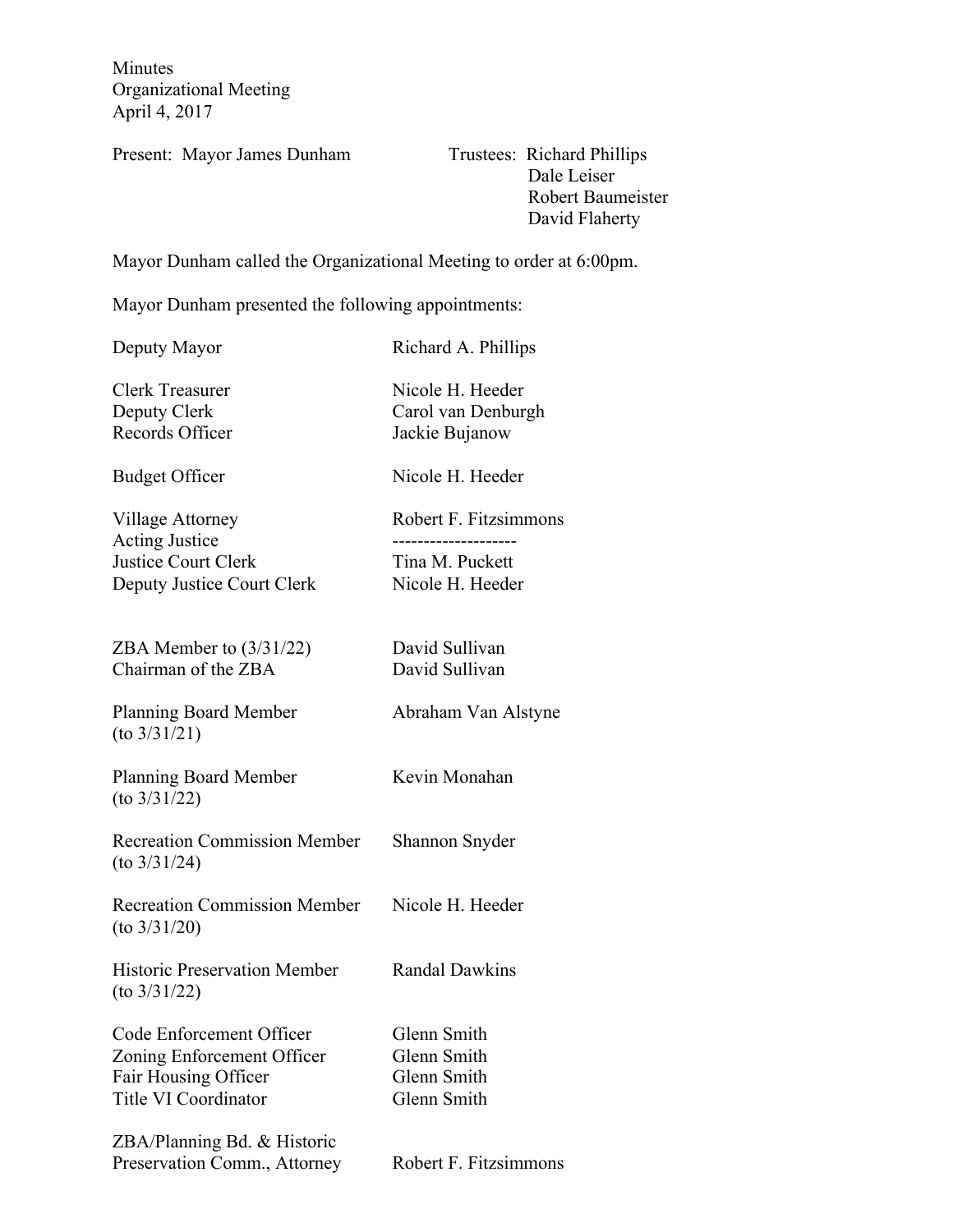Minutes Organizational Meeting April 4, 2017

Present: Mayor James Dunham Trustees: Richard Phillips

 Dale Leiser Robert Baumeister David Flaherty

Mayor Dunham called the Organizational Meeting to order at 6:00pm.

Mayor Dunham presented the following appointments:

Deputy Mayor Richard A. Phillips

Clerk Treasurer Nicole H. Heeder Deputy Clerk Carol van Denburgh Records Officer Jackie Bujanow

Budget Officer Nicole H. Heeder

Village Attorney Robert F. Fitzsimmons Acting Justice -------------------- Justice Court Clerk Tina M. Puckett Deputy Justice Court Clerk Nicole H. Heeder

ZBA Member to  $(3/31/22)$  David Sullivan Chairman of the ZBA David Sullivan

Planning Board Member Abraham Van Alstyne (to 3/31/21)

Planning Board Member Kevin Monahan (to 3/31/22)

Recreation Commission Member Shannon Snyder (to 3/31/24)

Recreation Commission Member Nicole H. Heeder (to 3/31/20)

Historic Preservation Member Randal Dawkins (to 3/31/22)

Code Enforcement Officer Glenn Smith Zoning Enforcement Officer Glenn Smith Fair Housing Officer Glenn Smith Title VI Coordinator Glenn Smith

ZBA/Planning Bd. & Historic Preservation Comm., Attorney Robert F. Fitzsimmons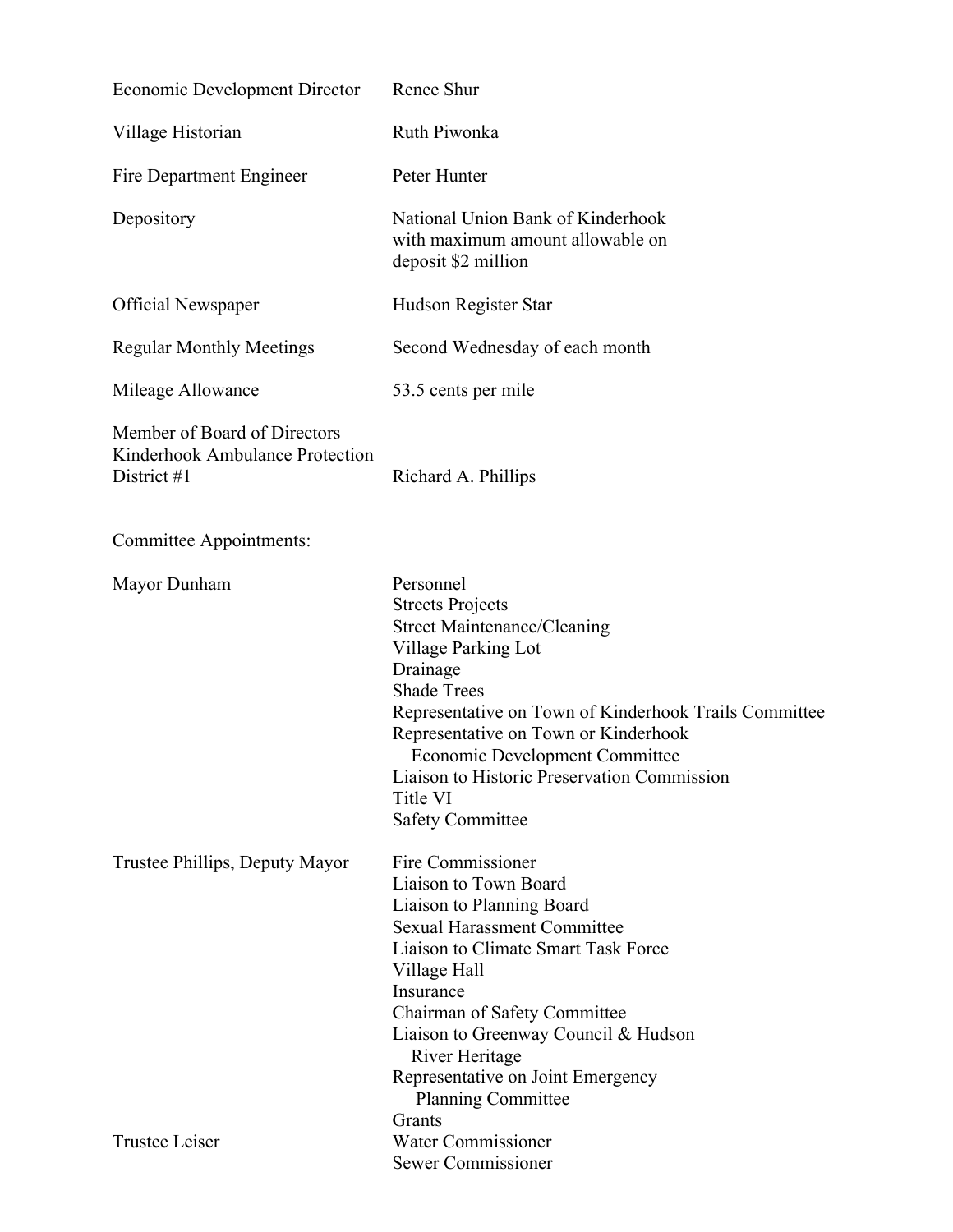| <b>Economic Development Director</b>                                           | Renee Shur                                                                                                                                                                                                                                                                                                                                                          |
|--------------------------------------------------------------------------------|---------------------------------------------------------------------------------------------------------------------------------------------------------------------------------------------------------------------------------------------------------------------------------------------------------------------------------------------------------------------|
| Village Historian                                                              | Ruth Piwonka                                                                                                                                                                                                                                                                                                                                                        |
| Fire Department Engineer                                                       | Peter Hunter                                                                                                                                                                                                                                                                                                                                                        |
| Depository                                                                     | National Union Bank of Kinderhook<br>with maximum amount allowable on<br>deposit \$2 million                                                                                                                                                                                                                                                                        |
| <b>Official Newspaper</b>                                                      | Hudson Register Star                                                                                                                                                                                                                                                                                                                                                |
| <b>Regular Monthly Meetings</b>                                                | Second Wednesday of each month                                                                                                                                                                                                                                                                                                                                      |
| Mileage Allowance                                                              | 53.5 cents per mile                                                                                                                                                                                                                                                                                                                                                 |
| Member of Board of Directors<br>Kinderhook Ambulance Protection<br>District #1 | Richard A. Phillips                                                                                                                                                                                                                                                                                                                                                 |
| Committee Appointments:                                                        |                                                                                                                                                                                                                                                                                                                                                                     |
| Mayor Dunham                                                                   | Personnel<br><b>Streets Projects</b><br><b>Street Maintenance/Cleaning</b><br>Village Parking Lot<br>Drainage<br><b>Shade Trees</b><br>Representative on Town of Kinderhook Trails Committee<br>Representative on Town or Kinderhook<br><b>Economic Development Committee</b><br>Liaison to Historic Preservation Commission<br>Title VI<br><b>Safety Committee</b> |
| Trustee Phillips, Deputy Mayor                                                 | Fire Commissioner<br>Liaison to Town Board<br>Liaison to Planning Board<br><b>Sexual Harassment Committee</b><br>Liaison to Climate Smart Task Force<br>Village Hall<br>Insurance<br>Chairman of Safety Committee<br>Liaison to Greenway Council & Hudson<br>River Heritage<br>Representative on Joint Emergency<br><b>Planning Committee</b><br>Grants             |
| <b>Trustee Leiser</b>                                                          | Water Commissioner<br>Sewer Commissioner                                                                                                                                                                                                                                                                                                                            |